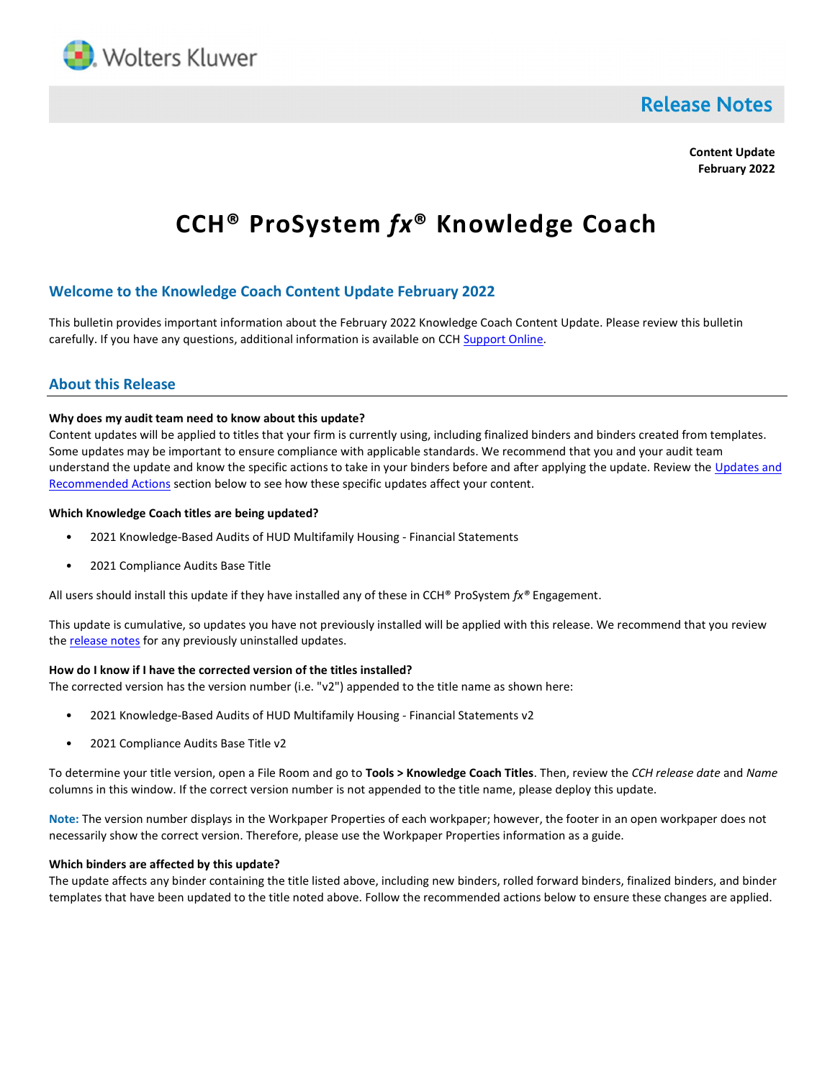

# **Release Notes**

Content Update February 2022

# CCH® ProSystem fx® Knowledge Coach

# Welcome to the Knowledge Coach Content Update February 2022

This bulletin provides important information about the February 2022 Knowledge Coach Content Update. Please review this bulletin carefully. If you have any questions, additional information is available on CCH Support Online.

### About this Release

#### Why does my audit team need to know about this update?

Content updates will be applied to titles that your firm is currently using, including finalized binders and binders created from templates. Some updates may be important to ensure compliance with applicable standards. We recommend that you and your audit team understand the update and know the specific actions to take in your binders before and after applying the update. Review the Updates and Recommended Actions section below to see how these specific updates affect your content.

#### Which Knowledge Coach titles are being updated?

- 2021 Knowledge-Based Audits of HUD Multifamily Housing Financial Statements
- 2021 Compliance Audits Base Title

All users should install this update if they have installed any of these in CCH® ProSystem  $f_x$ ® Engagement.

This update is cumulative, so updates you have not previously installed will be applied with this release. We recommend that you review the release notes for any previously uninstalled updates.

#### How do I know if I have the corrected version of the titles installed?

The corrected version has the version number (i.e. " $v2$ ") appended to the title name as shown here:

- 2021 Knowledge-Based Audits of HUD Multifamily Housing Financial Statements v2
- 2021 Compliance Audits Base Title v2

To determine your title version, open a File Room and go to Tools > Knowledge Coach Titles. Then, review the CCH release date and Name columns in this window. If the correct version number is not appended to the title name, please deploy this update.

Note: The version number displays in the Workpaper Properties of each workpaper; however, the footer in an open workpaper does not necessarily show the correct version. Therefore, please use the Workpaper Properties information as a guide.

#### Which binders are affected by this update?

The update affects any binder containing the title listed above, including new binders, rolled forward binders, finalized binders, and binder templates that have been updated to the title noted above. Follow the recommended actions below to ensure these changes are applied.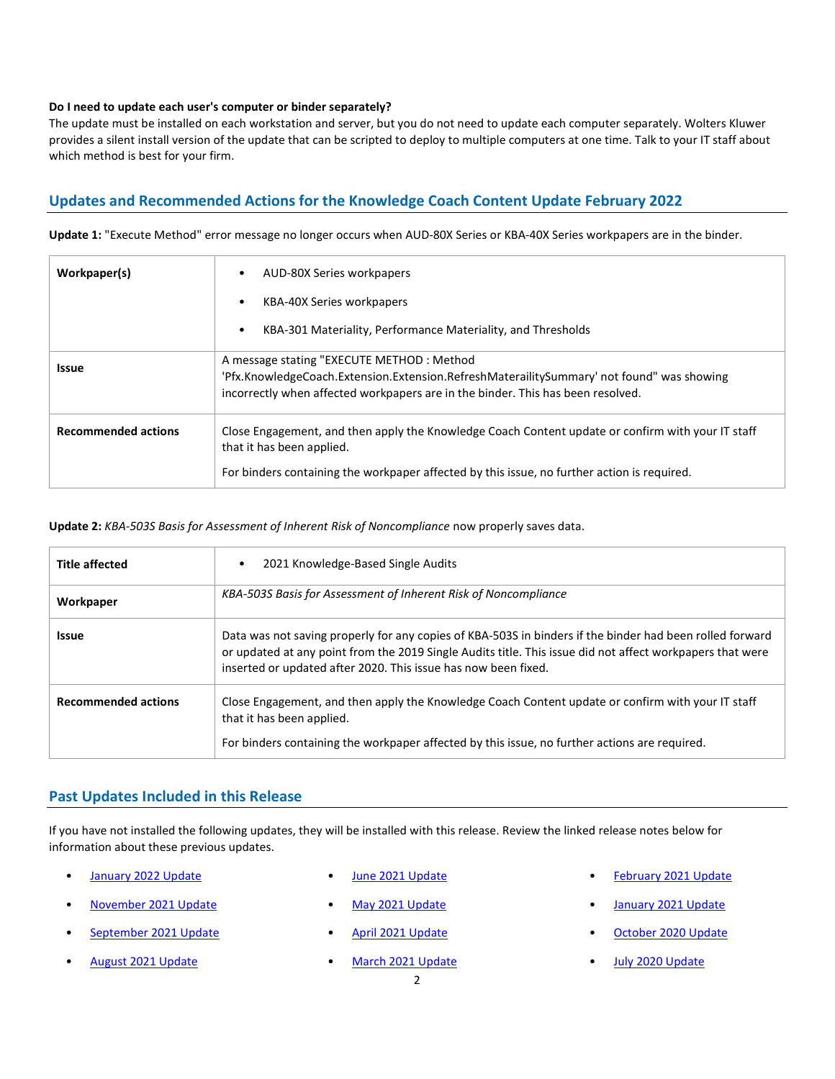#### Do I need to update each user's computer or binder separately?

The update must be installed on each workstation and server, but you do not need to update each computer separately. Wolters Kluwer provides a silent install version of the update that can be scripted to deploy to multiple computers at one time. Talk to your IT staff about which method is best for your firm.

# Updates and Recommended Actions for the Knowledge Coach Content Update February 2022

Update 1: "Execute Method" error message no longer occurs when AUD-80X Series or KBA-40X Series workpapers are in the binder.

| Workpaper(s)               | AUD-80X Series workpapers                                                                                                                                                                                                     |
|----------------------------|-------------------------------------------------------------------------------------------------------------------------------------------------------------------------------------------------------------------------------|
|                            | KBA-40X Series workpapers                                                                                                                                                                                                     |
|                            | KBA-301 Materiality, Performance Materiality, and Thresholds                                                                                                                                                                  |
| <b>Issue</b>               | A message stating "EXECUTE METHOD: Method<br>'Pfx.KnowledgeCoach.Extension.Extension.RefreshMaterailitySummary' not found" was showing<br>incorrectly when affected workpapers are in the binder. This has been resolved.     |
| <b>Recommended actions</b> | Close Engagement, and then apply the Knowledge Coach Content update or confirm with your IT staff<br>that it has been applied.<br>For binders containing the workpaper affected by this issue, no further action is required. |

#### Update 2: KBA-503S Basis for Assessment of Inherent Risk of Noncompliance now properly saves data.

| <b>Title affected</b>      | 2021 Knowledge-Based Single Audits                                                                                                                                                                                                                                                      |
|----------------------------|-----------------------------------------------------------------------------------------------------------------------------------------------------------------------------------------------------------------------------------------------------------------------------------------|
| Workpaper                  | KBA-503S Basis for Assessment of Inherent Risk of Noncompliance                                                                                                                                                                                                                         |
| <b>Issue</b>               | Data was not saving properly for any copies of KBA-503S in binders if the binder had been rolled forward<br>or updated at any point from the 2019 Single Audits title. This issue did not affect workpapers that were<br>inserted or updated after 2020. This issue has now been fixed. |
| <b>Recommended actions</b> | Close Engagement, and then apply the Knowledge Coach Content update or confirm with your IT staff<br>that it has been applied.<br>For binders containing the workpaper affected by this issue, no further actions are required.                                                         |

# Past Updates Included in this Release

If you have not installed the following updates, they will be installed with this release. Review the linked release notes below for information about these previous updates.

- January 2022 Update
	- November 2021 Update
- September 2021 Update
- August 2021 Update
- June 2021 Update
- May 2021 Update
- April 2021 Update
- March 2021 Update
- February 2021 Update
- January 2021 Update
- October 2020 Update
- July 2020 Update